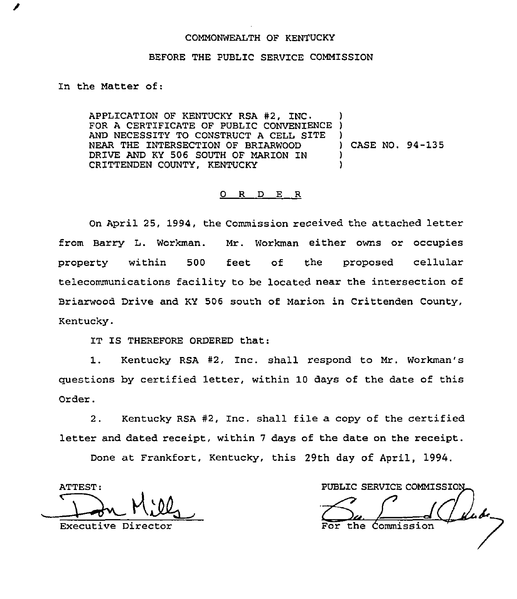## COMMONWEALTH OF KENTUCKY

## BEFORE THE PUBLIC SERVICE COMMISSION

In the Matter of:

APPLICATION OF KENTUCKY RSA #2, INC. FOR A CERTIFICATE OF PUBLIC CONVENIENCE AND NECESSITY TO CONSTRUCT A CELL SITE NEAR THE INTERSECTION OF BRIARWOOD DRIVE AND KY 506 SOUTH OF MARION IN CRITTENDEN COUNTY, KENTUCKY ) ) ) ) CASE NO. 94-135 ) )

## 0 R <sup>D</sup> E R

On April 25, 1994, the Commission received the attached letter from Barry L. Workman. Mr. Workman either owns or occupies property within 500 feet of the proposed cellula telecommunications facility to be located near the intersection of Briarwood Drive and KY 506 south of Marion in Crittenden County, Kentucky.

IT IS THEREFORE ORDERED that:

1. Kentucky RSA #2, Inc. shall respond to Mr. Workman's questions by certified letter, within 10 days of the date of this Order.

2. Kentucky RSA  $#2$ , Inc. shall file a copy of the certified letter and dated receipt, within <sup>7</sup> days of the date on the receipt.

Done at Frankfort, Kentucky, this 29th day of April, 1994.

ATTEST

PUBLIC SERVICE COMMISSION Don Milly  $\frac{1}{\sqrt{2}}$   $\frac{1}{\sqrt{2}}$ the Commission